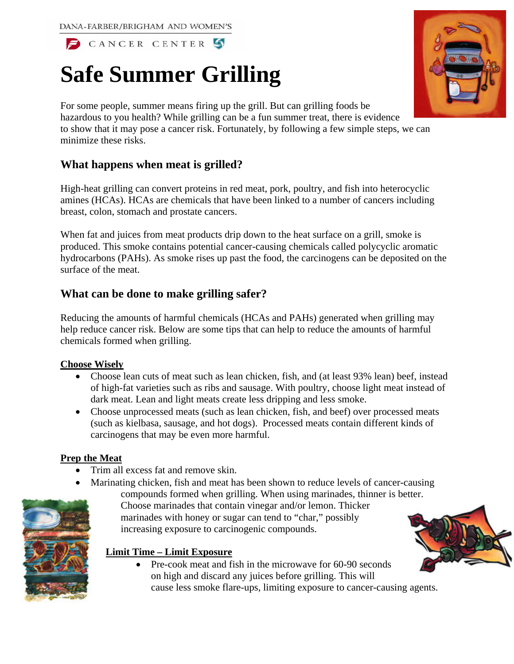DANA-FARBER/BRIGHAM AND WOMEN'S

CANCER CENTER S

# **Safe Summer Grilling**

For some people, summer means firing up the grill. But can grilling foods be hazardous to you health? While grilling can be a fun summer treat, there is evidence to show that it may pose a cancer risk. Fortunately, by following a few simple steps, we can minimize these risks.

# **What happens when meat is grilled?**

High-heat grilling can convert proteins in red meat, pork, poultry, and fish into heterocyclic amines (HCAs). HCAs are chemicals that have been linked to a number of cancers including breast, colon, stomach and prostate cancers.

When fat and juices from meat products drip down to the heat surface on a grill, smoke is produced. This smoke contains potential cancer-causing chemicals called polycyclic aromatic hydrocarbons (PAHs). As smoke rises up past the food, the carcinogens can be deposited on the surface of the meat.

# **What can be done to make grilling safer?**

Reducing the amounts of harmful chemicals (HCAs and PAHs) generated when grilling may help reduce cancer risk. Below are some tips that can help to reduce the amounts of harmful chemicals formed when grilling.

#### **Choose Wisely**

- Choose lean cuts of meat such as lean chicken, fish, and (at least 93% lean) beef, instead of high-fat varieties such as ribs and sausage. With poultry, choose light meat instead of dark meat. Lean and light meats create less dripping and less smoke.
- Choose unprocessed meats (such as lean chicken, fish, and beef) over processed meats (such as kielbasa, sausage, and hot dogs). Processed meats contain different kinds of carcinogens that may be even more harmful.

## **Prep the Meat**

- Trim all excess fat and remove skin.
- Marinating chicken, fish and meat has been shown to reduce levels of cancer-causing compounds formed when grilling. When using marinades, thinner is better.

Choose marinades that contain vinegar and/or lemon. Thicker marinades with honey or sugar can tend to "char," possibly

increasing exposure to carcinogenic compounds.



### **Limit Time – Limit Exposure**

• Pre-cook meat and fish in the microwave for 60-90 seconds on high and discard any juices before grilling. This will cause less smoke flare-ups, limiting exposure to cancer-causing agents.